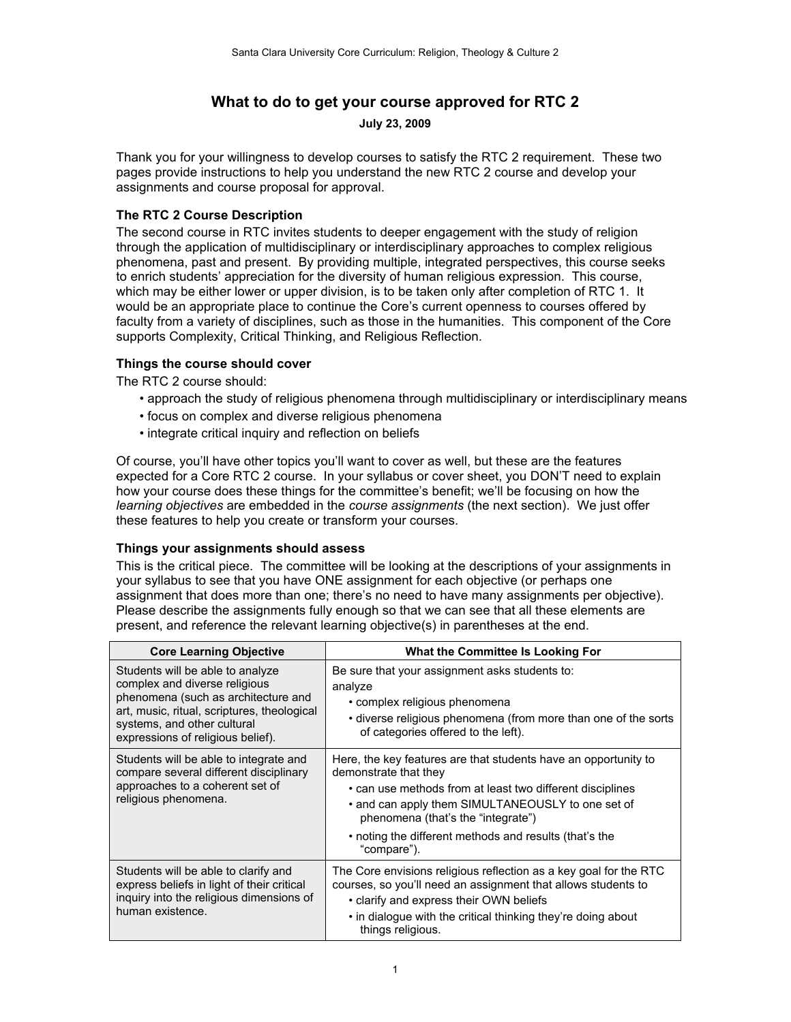# **What to do to get your course approved for RTC 2**

**July 23, 2009**

Thank you for your willingness to develop courses to satisfy the RTC 2 requirement. These two pages provide instructions to help you understand the new RTC 2 course and develop your assignments and course proposal for approval.

# **The RTC 2 Course Description**

The second course in RTC invites students to deeper engagement with the study of religion through the application of multidisciplinary or interdisciplinary approaches to complex religious phenomena, past and present. By providing multiple, integrated perspectives, this course seeks to enrich students' appreciation for the diversity of human religious expression. This course, which may be either lower or upper division, is to be taken only after completion of RTC 1. It would be an appropriate place to continue the Core's current openness to courses offered by faculty from a variety of disciplines, such as those in the humanities. This component of the Core supports Complexity, Critical Thinking, and Religious Reflection.

# **Things the course should cover**

The RTC 2 course should:

- approach the study of religious phenomena through multidisciplinary or interdisciplinary means
- focus on complex and diverse religious phenomena
- integrate critical inquiry and reflection on beliefs

Of course, you'll have other topics you'll want to cover as well, but these are the features expected for a Core RTC 2 course. In your syllabus or cover sheet, you DON'T need to explain how your course does these things for the committee's benefit; we'll be focusing on how the *learning objectives* are embedded in the *course assignments* (the next section). We just offer these features to help you create or transform your courses.

### **Things your assignments should assess**

This is the critical piece. The committee will be looking at the descriptions of your assignments in your syllabus to see that you have ONE assignment for each objective (or perhaps one assignment that does more than one; there's no need to have many assignments per objective). Please describe the assignments fully enough so that we can see that all these elements are present, and reference the relevant learning objective(s) in parentheses at the end.

| <b>Core Learning Objective</b>                                                                                                                                                                                              | <b>What the Committee Is Looking For</b>                                                                                                                                                                                                                                                                                  |
|-----------------------------------------------------------------------------------------------------------------------------------------------------------------------------------------------------------------------------|---------------------------------------------------------------------------------------------------------------------------------------------------------------------------------------------------------------------------------------------------------------------------------------------------------------------------|
| Students will be able to analyze<br>complex and diverse religious<br>phenomena (such as architecture and<br>art, music, ritual, scriptures, theological<br>systems, and other cultural<br>expressions of religious belief). | Be sure that your assignment asks students to:<br>analyze<br>• complex religious phenomena<br>• diverse religious phenomena (from more than one of the sorts<br>of categories offered to the left).                                                                                                                       |
| Students will be able to integrate and<br>compare several different disciplinary<br>approaches to a coherent set of<br>religious phenomena.                                                                                 | Here, the key features are that students have an opportunity to<br>demonstrate that they<br>• can use methods from at least two different disciplines<br>• and can apply them SIMULTANEOUSLY to one set of<br>phenomena (that's the "integrate")<br>• noting the different methods and results (that's the<br>"compare"). |
| Students will be able to clarify and<br>express beliefs in light of their critical<br>inquiry into the religious dimensions of<br>human existence.                                                                          | The Core envisions religious reflection as a key goal for the RTC<br>courses, so you'll need an assignment that allows students to<br>• clarify and express their OWN beliefs<br>• in dialogue with the critical thinking they're doing about<br>things religious.                                                        |